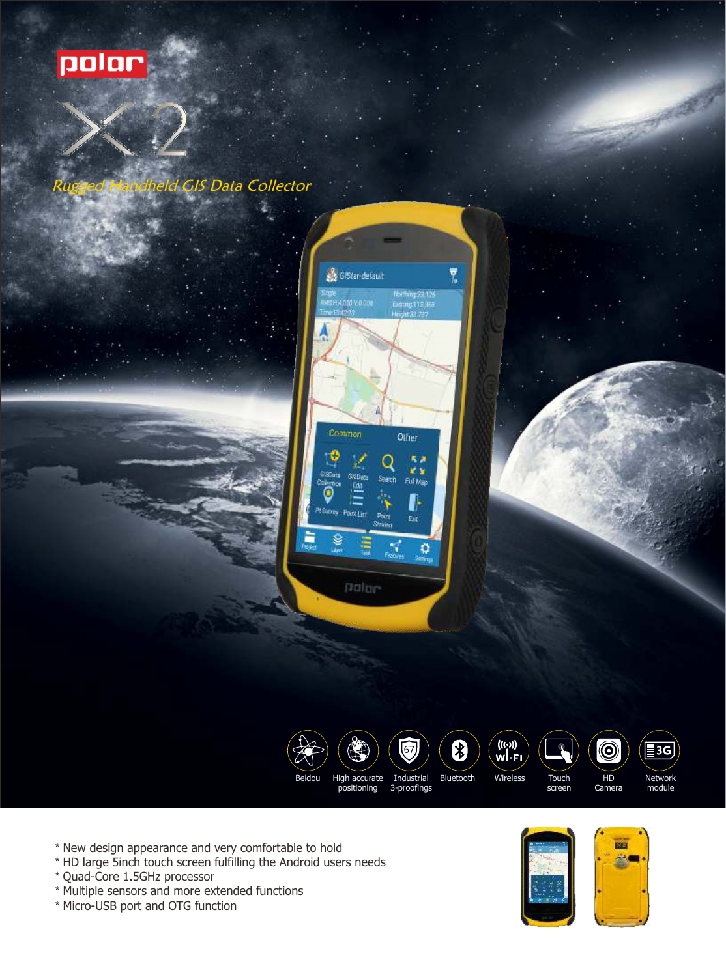

## GIS Data Collector





\* New design appearance and very comfortable to hold

- \* HD large 5inch touch screen fulfilling the Android users needs
- \* Quad-Core 1.5GHz processor
- \* Multiple sensors and more extended functions
- \* Micro-USB port and OTG function





Network module

 $\sqrt{\Xi$ 3G